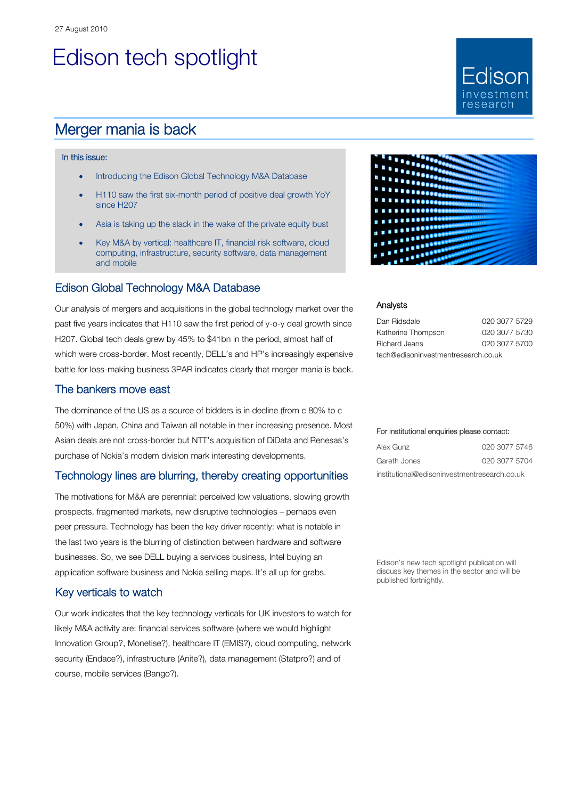# Edison tech spotlight

### Merger mania is back

#### In this issue:

- Introducing the Edison Global Technology M&A Database
- H110 saw the first six-month period of positive deal growth YoY since H207
- Asia is taking up the slack in the wake of the private equity bust
- Key M&A by vertical: healthcare IT, financial risk software, cloud computing, infrastructure, security software, data management and mobile

#### Edison Global Technology M&A Database

Our analysis of mergers and acquisitions in the global technology market over the past five years indicates that H110 saw the first period of y-o-y deal growth since H207. Global tech deals grew by 45% to \$41bn in the period, almost half of which were cross-border. Most recently, DELL's and HP's increasingly expensive battle for loss-making business 3PAR indicates clearly that merger mania is back.

#### The bankers move east

The dominance of the US as a source of bidders is in decline (from c 80% to c 50%) with Japan, China and Taiwan all notable in their increasing presence. Most Asian deals are not cross-border but NTT's acquisition of DiData and Renesas's purchase of Nokia's modem division mark interesting developments.

#### Technology lines are blurring, thereby creating opportunities

The motivations for M&A are perennial: perceived low valuations, slowing growth prospects, fragmented markets, new disruptive technologies – perhaps even peer pressure. Technology has been the key driver recently: what is notable in the last two years is the blurring of distinction between hardware and software businesses. So, we see DELL buying a services business, Intel buying an application software business and Nokia selling maps. It's all up for grabs.

#### Key verticals to watch

Our work indicates that the key technology verticals for UK investors to watch for likely M&A activity are: financial services software (where we would highlight Innovation Group?, Monetise?), healthcare IT (EMIS?), cloud computing, network security (Endace?), infrastructure (Anite?), data management (Statpro?) and of course, mobile services (Bango?).



Fdison

esearc

#### Analysts

| Dan Ridsdale                        | 020 3077 5729 |  |  |  |  |  |  |  |
|-------------------------------------|---------------|--|--|--|--|--|--|--|
| Katherine Thompson                  | 020 3077 5730 |  |  |  |  |  |  |  |
| Richard Jeans                       | 020 3077 5700 |  |  |  |  |  |  |  |
| tech@edisoninvestmentresearch.co.uk |               |  |  |  |  |  |  |  |

#### For institutional enquiries please contact:

| Alex Gunz                                    | 020 3077 5746 |
|----------------------------------------------|---------------|
| Gareth Jones                                 | 020 3077 5704 |
| institutional@edisoninvestmentresearch.co.uk |               |

Edison's new tech spotlight publication will discuss key themes in the sector and will be published fortnightly.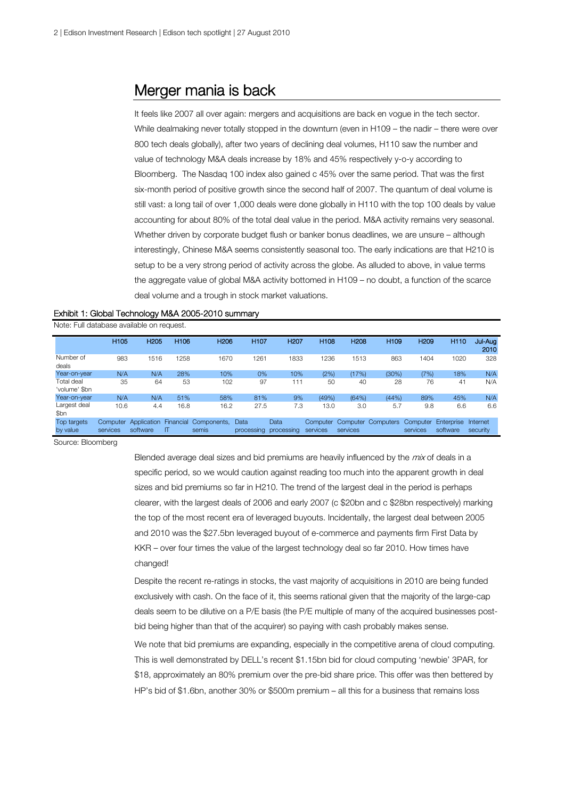### Merger mania is back

It feels like 2007 all over again: mergers and acquisitions are back en vogue in the tech sector. While dealmaking never totally stopped in the downturn (even in H109 – the nadir – there were over 800 tech deals globally), after two years of declining deal volumes, H110 saw the number and value of technology M&A deals increase by 18% and 45% respectively y-o-y according to Bloomberg. The Nasdaq 100 index also gained c 45% over the same period. That was the first six-month period of positive growth since the second half of 2007. The quantum of deal volume is still vast: a long tail of over 1,000 deals were done globally in H110 with the top 100 deals by value accounting for about 80% of the total deal value in the period. M&A activity remains very seasonal. Whether driven by corporate budget flush or banker bonus deadlines, we are unsure – although interestingly, Chinese M&A seems consistently seasonal too. The early indications are that H210 is setup to be a very strong period of activity across the globe. As alluded to above, in value terms the aggregate value of global M&A activity bottomed in H109 – no doubt, a function of the scarce deal volume and a trough in stock market valuations.

#### Exhibit 1: Global Technology M&A 2005-2010 summary

Note: Full database available on request.

|                             | <b>H105</b>          | <b>H205</b>             | H <sub>106</sub> | H <sub>206</sub>               | <b>H107</b>        | <b>H207</b>        | 11108    | <b>H208</b> | <b>H109</b>                 | <b>H209</b>          | H <sub>110</sub>       | Jul-Aug<br>2010      |
|-----------------------------|----------------------|-------------------------|------------------|--------------------------------|--------------------|--------------------|----------|-------------|-----------------------------|----------------------|------------------------|----------------------|
| Number of<br>deals          | 983                  | 1516                    | 1258             | 1670                           | 1261               | 1833               | 1236     | 1513        | 863                         | 1404                 | 1020                   | 328                  |
| Year-on-year                | N/A                  | N/A                     | 28%              | 10%                            | 0%                 | 10%                | (2%)     | (17%)       | (30%)                       | (7%)                 | 18%                    | N/A                  |
| Total deal<br>'volume' \$bn | 35                   | 64                      | 53               | 102                            | 97                 | 111                | 50       | 40          | 28                          | 76                   | 41                     | N/A                  |
| Year-on-year                | N/A                  | N/A                     | 51%              | 58%                            | 81%                | 9%                 | (49%)    | (64%)       | (44%)                       | 89%                  | 45%                    | N/A                  |
| Largest deal<br>\$bn        | 10.6                 | 4.4                     | 16.8             | 16.2                           | 27.5               | 7.3                | 13.0     | 3.0         | 5.7                         | 9.8                  | 6.6                    | 6.6                  |
| Top targets<br>by value     | Computer<br>services | Application<br>software | ΙT               | Financial Components.<br>semis | Data<br>processing | Data<br>processing | services | services    | Computer Computer Computers | Computer<br>services | Enterprise<br>software | Internet<br>security |

Source: Bloomberg

Blended average deal sizes and bid premiums are heavily influenced by the  $mix$  of deals in a specific period, so we would caution against reading too much into the apparent growth in deal sizes and bid premiums so far in H210. The trend of the largest deal in the period is perhaps clearer, with the largest deals of 2006 and early 2007 (c \$20bn and c \$28bn respectively) marking the top of the most recent era of leveraged buyouts. Incidentally, the largest deal between 2005 and 2010 was the \$27.5bn leveraged buyout of e-commerce and payments firm First Data by KKR – over four times the value of the largest technology deal so far 2010. How times have changed!

Despite the recent re-ratings in stocks, the vast majority of acquisitions in 2010 are being funded exclusively with cash. On the face of it, this seems rational given that the majority of the large-cap deals seem to be dilutive on a P/E basis (the P/E multiple of many of the acquired businesses postbid being higher than that of the acquirer) so paying with cash probably makes sense.

We note that bid premiums are expanding, especially in the competitive arena of cloud computing. This is well demonstrated by DELL's recent \$1.15bn bid for cloud computing 'newbie' 3PAR, for \$18, approximately an 80% premium over the pre-bid share price. This offer was then bettered by HP's bid of \$1.6bn, another 30% or \$500m premium – all this for a business that remains loss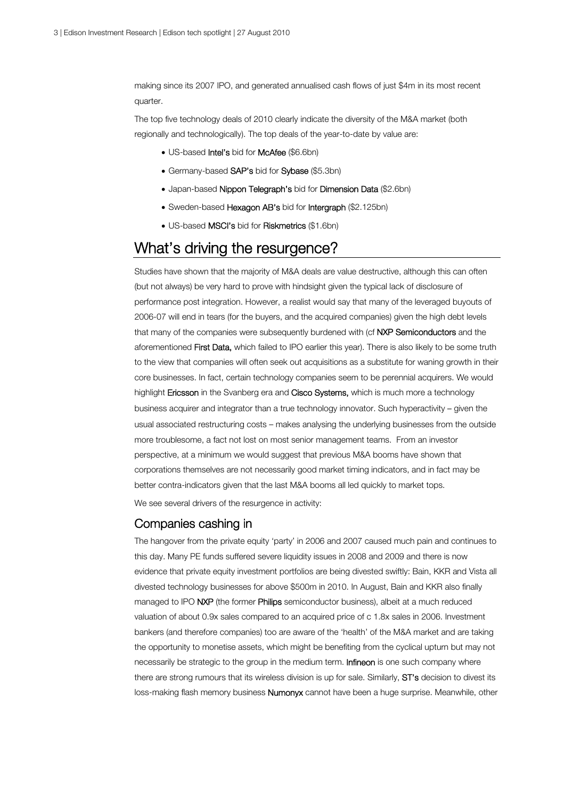making since its 2007 IPO, and generated annualised cash flows of just \$4m in its most recent quarter.

The top five technology deals of 2010 clearly indicate the diversity of the M&A market (both regionally and technologically). The top deals of the year-to-date by value are:

- US-based Intel's bid for McAfee (\$6.6bn)
- Germany-based SAP's bid for Sybase (\$5.3bn)
- Japan-based Nippon Telegraph's bid for Dimension Data (\$2.6bn)
- Sweden-based Hexagon AB's bid for Intergraph (\$2.125bn)
- US-based **MSCI's** bid for **Riskmetrics** (\$1.6bn)

## What's driving the resurgence?

Studies have shown that the majority of M&A deals are value destructive, although this can often (but not always) be very hard to prove with hindsight given the typical lack of disclosure of performance post integration. However, a realist would say that many of the leveraged buyouts of 2006-07 will end in tears (for the buyers, and the acquired companies) given the high debt levels that many of the companies were subsequently burdened with (cf NXP Semiconductors and the aforementioned First Data, which failed to IPO earlier this year). There is also likely to be some truth to the view that companies will often seek out acquisitions as a substitute for waning growth in their core businesses. In fact, certain technology companies seem to be perennial acquirers. We would highlight Ericsson in the Svanberg era and Cisco Systems, which is much more a technology business acquirer and integrator than a true technology innovator. Such hyperactivity – given the usual associated restructuring costs – makes analysing the underlying businesses from the outside more troublesome, a fact not lost on most senior management teams. From an investor perspective, at a minimum we would suggest that previous M&A booms have shown that corporations themselves are not necessarily good market timing indicators, and in fact may be better contra-indicators given that the last M&A booms all led quickly to market tops.

We see several drivers of the resurgence in activity:

#### Companies cashing in

The hangover from the private equity 'party' in 2006 and 2007 caused much pain and continues to this day. Many PE funds suffered severe liquidity issues in 2008 and 2009 and there is now evidence that private equity investment portfolios are being divested swiftly: Bain, KKR and Vista all divested technology businesses for above \$500m in 2010. In August, Bain and KKR also finally managed to IPO NXP (the former Philips semiconductor business), albeit at a much reduced valuation of about 0.9x sales compared to an acquired price of c 1.8x sales in 2006. Investment bankers (and therefore companies) too are aware of the 'health' of the M&A market and are taking the opportunity to monetise assets, which might be benefiting from the cyclical upturn but may not necessarily be strategic to the group in the medium term. Infineon is one such company where there are strong rumours that its wireless division is up for sale. Similarly, ST's decision to divest its loss-making flash memory business **Numonyx** cannot have been a huge surprise. Meanwhile, other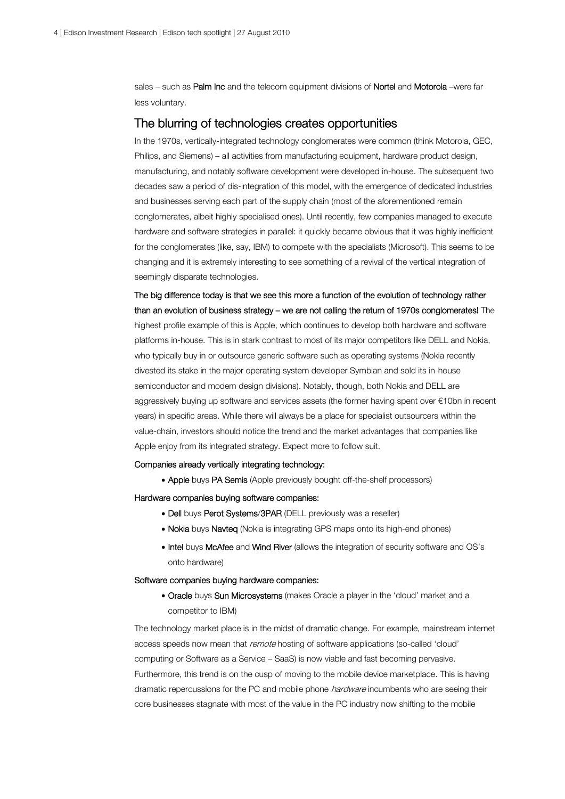sales – such as Palm Inc and the telecom equipment divisions of Nortel and Motorola –were far less voluntary.

#### The blurring of technologies creates opportunities

In the 1970s, vertically-integrated technology conglomerates were common (think Motorola, GEC, Philips, and Siemens) – all activities from manufacturing equipment, hardware product design, manufacturing, and notably software development were developed in-house. The subsequent two decades saw a period of dis-integration of this model, with the emergence of dedicated industries and businesses serving each part of the supply chain (most of the aforementioned remain conglomerates, albeit highly specialised ones). Until recently, few companies managed to execute hardware and software strategies in parallel: it quickly became obvious that it was highly inefficient for the conglomerates (like, say, IBM) to compete with the specialists (Microsoft). This seems to be changing and it is extremely interesting to see something of a revival of the vertical integration of seemingly disparate technologies.

The big difference today is that we see this more a function of the evolution of technology rather than an evolution of business strategy – we are not calling the return of 1970s conglomerates! The highest profile example of this is Apple, which continues to develop both hardware and software platforms in-house. This is in stark contrast to most of its major competitors like DELL and Nokia, who typically buy in or outsource generic software such as operating systems (Nokia recently divested its stake in the major operating system developer Symbian and sold its in-house semiconductor and modem design divisions). Notably, though, both Nokia and DELL are aggressively buying up software and services assets (the former having spent over €10bn in recent years) in specific areas. While there will always be a place for specialist outsourcers within the value-chain, investors should notice the trend and the market advantages that companies like Apple enjoy from its integrated strategy. Expect more to follow suit.

#### Companies already vertically integrating technology:

• Apple buys PA Semis (Apple previously bought off-the-shelf processors)

#### Hardware companies buying software companies:

- Dell buys Perot Systems/3PAR (DELL previously was a reseller)
- Nokia buys Navteq (Nokia is integrating GPS maps onto its high-end phones)
- Intel buys McAfee and Wind River (allows the integration of security software and OS's onto hardware)

#### Software companies buying hardware companies:

• Oracle buys Sun Microsystems (makes Oracle a player in the 'cloud' market and a competitor to IBM)

The technology market place is in the midst of dramatic change. For example, mainstream internet access speeds now mean that remote hosting of software applications (so-called 'cloud' computing or Software as a Service – SaaS) is now viable and fast becoming pervasive. Furthermore, this trend is on the cusp of moving to the mobile device marketplace. This is having dramatic repercussions for the PC and mobile phone hardware incumbents who are seeing their core businesses stagnate with most of the value in the PC industry now shifting to the mobile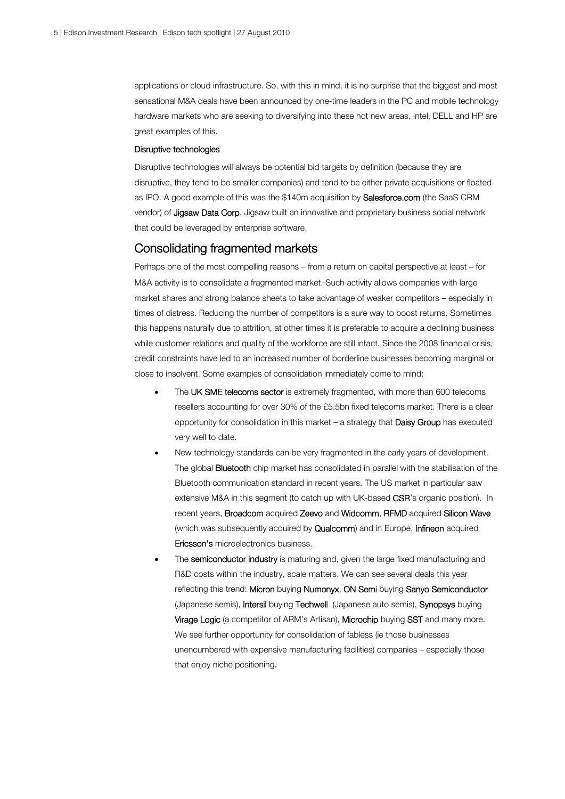applications or cloud infrastructure. So, with this in mind, it is no surprise that the biggest and most sensational M&A deals have been announced by one-time leaders in the PC and mobile technology hardware markets who are seeking to diversifying into these hot new areas. Intel, DELL and HP are great examples of this.

#### Disruptive technologies

Disruptive technologies will always be potential bid targets by definition (because they are disruptive, they tend to be smaller companies) and tend to be either private acquisitions or floated as IPO. A good example of this was the \$140m acquisition by Salesforce.com (the SaaS CRM vendor) of Jigsaw Data Corp. Jigsaw built an innovative and proprietary business social network that could be leveraged by enterprise software.

#### Consolidating fragmented markets

Perhaps one of the most compelling reasons – from a return on capital perspective at least – for M&A activity is to consolidate a fragmented market. Such activity allows companies with large market shares and strong balance sheets to take advantage of weaker competitors – especially in times of distress. Reducing the number of competitors is a sure way to boost returns. Sometimes this happens naturally due to attrition, at other times it is preferable to acquire a declining business while customer relations and quality of the workforce are still intact. Since the 2008 financial crisis, credit constraints have led to an increased number of borderline businesses becoming marginal or close to insolvent. Some examples of consolidation immediately come to mind:

- The UK SME telecoms sector is extremely fragmented, with more than 600 telecoms resellers accounting for over 30% of the £5.5bn fixed telecoms market. There is a clear opportunity for consolidation in this market – a strategy that Daisy Group has executed very well to date.
- New technology standards can be very fragmented in the early years of development. The global **Bluetooth** chip market has consolidated in parallel with the stabilisation of the Bluetooth communication standard in recent years. The US market in particular saw extensive M&A in this segment (to catch up with UK-based CSR's organic position). In recent years, Broadcom acquired Zeevo and Widcomm, RFMD acquired Silicon Wave (which was subsequently acquired by **Qualcomm**) and in Europe, **Infineon** acquired Ericsson's microelectronics business.
- The semiconductor industry is maturing and, given the large fixed manufacturing and R&D costs within the industry, scale matters. We can see several deals this year reflecting this trend: Micron buying Numonyx, ON Semi buying Sanyo Semiconductor (Japanese semis), Intersil buying Techwell (Japanese auto semis), Synopsys buying Virage Logic (a competitor of ARM's Artisan), Microchip buying SST and many more. We see further opportunity for consolidation of fabless (ie those businesses unencumbered with expensive manufacturing facilities) companies – especially those that enjoy niche positioning.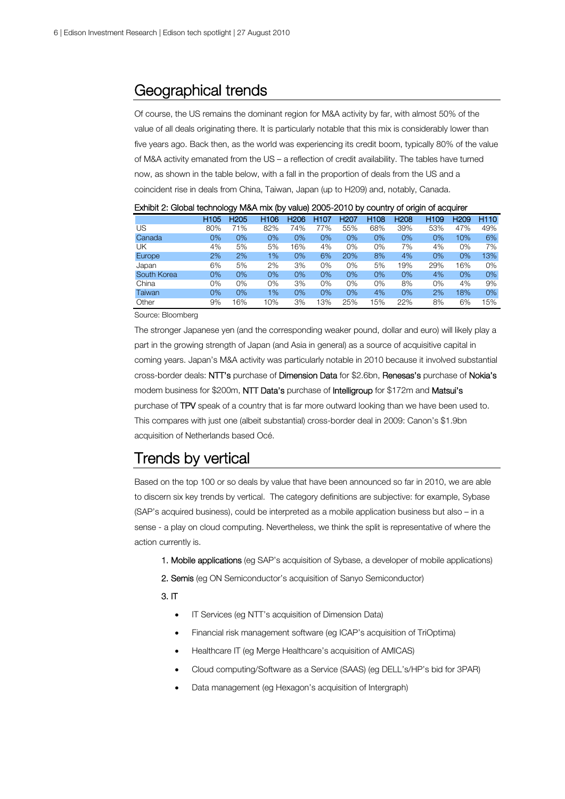### Geographical trends

Of course, the US remains the dominant region for M&A activity by far, with almost 50% of the value of all deals originating there. It is particularly notable that this mix is considerably lower than five years ago. Back then, as the world was experiencing its credit boom, typically 80% of the value of M&A activity emanated from the US – a reflection of credit availability. The tables have turned now, as shown in the table below, with a fall in the proportion of deals from the US and a coincident rise in deals from China, Taiwan, Japan (up to H209) and, notably, Canada.

|               |                  | . .              | . .              |                  |                  |                  |                  | -                | -                |                  |       |
|---------------|------------------|------------------|------------------|------------------|------------------|------------------|------------------|------------------|------------------|------------------|-------|
|               | H <sub>105</sub> | H <sub>205</sub> | H <sub>106</sub> | H <sub>206</sub> | H <sub>107</sub> | H <sub>207</sub> | H <sub>108</sub> | H <sub>208</sub> | H <sub>109</sub> | H <sub>209</sub> | H110  |
| US            | 80%              | 71%              | 82%              | 74%              | 77%              | 55%              | 68%              | 39%              | 53%              | 47%              | 49%   |
| Canada        | 0%               | 0%               | 0%               | 0%               | 0%               | 0%               | 0%               | 0%               | $0\%$            | 10%              | 6%    |
| UΚ            | 4%               | 5%               | 5%               | 16%              | 4%               | 0%               | 0%               | 7%               | 4%               | 0%               | 7%    |
| <b>Europe</b> | 2%               | 2%               | 1%               | 0%               | 6%               | 20%              | 8%               | 4%               | 0%               | 0%               | 13%   |
| Japan         | 6%               | 5%               | 2%               | 3%               | 0%               | 0%               | 5%               | 19%              | 29%              | 16%              | 0%    |
| South Korea   | 0%               | 0%               | 0%               | 0%               | 0%               | 0%               | 0%               | 0%               | 4%               | 0%               | $0\%$ |
| China         | 0%               | 0%               | 0%               | 3%               | 0%               | 0%               | 0%               | 8%               | 0%               | 4%               | 9%    |
| Taiwan        | 0%               | 0%               | 1%               | 0%               | 0%               | 0%               | 4%               | 0%               | 2%               | 18%              | 0%    |
| Other         | 9%               | 16%              | 10%              | 3%               | 13%              | 25%              | 15%              | 22%              | 8%               | 6%               | 15%   |

Exhibit 2: Global technology M&A mix (by value) 2005-2010 by country of origin of acquirer

Source: Bloomberg

The stronger Japanese yen (and the corresponding weaker pound, dollar and euro) will likely play a part in the growing strength of Japan (and Asia in general) as a source of acquisitive capital in coming years. Japan's M&A activity was particularly notable in 2010 because it involved substantial cross-border deals: NTT's purchase of Dimension Data for \$2.6bn, Renesas's purchase of Nokia's modem business for \$200m, NTT Data's purchase of Intelligroup for \$172m and Matsui's purchase of TPV speak of a country that is far more outward looking than we have been used to. This compares with just one (albeit substantial) cross-border deal in 2009: Canon's \$1.9bn acquisition of Netherlands based Océ.

## Trends by vertical

Based on the top 100 or so deals by value that have been announced so far in 2010, we are able to discern six key trends by vertical. The category definitions are subjective: for example, Sybase (SAP's acquired business), could be interpreted as a mobile application business but also – in a sense - a play on cloud computing. Nevertheless, we think the split is representative of where the action currently is.

- 1. Mobile applications (eg SAP's acquisition of Sybase, a developer of mobile applications)
- 2. Semis (eg ON Semiconductor's acquisition of Sanyo Semiconductor)

#### 3. IT

- **IF Services (eg NTT's acquisition of Dimension Data)**
- Financial risk management software (eg ICAP's acquisition of TriOptima)
- Healthcare IT (eg Merge Healthcare's acquisition of AMICAS)
- Cloud computing/Software as a Service (SAAS) (eg DELL's/HP's bid for 3PAR)
- Data management (eg Hexagon's acquisition of Intergraph)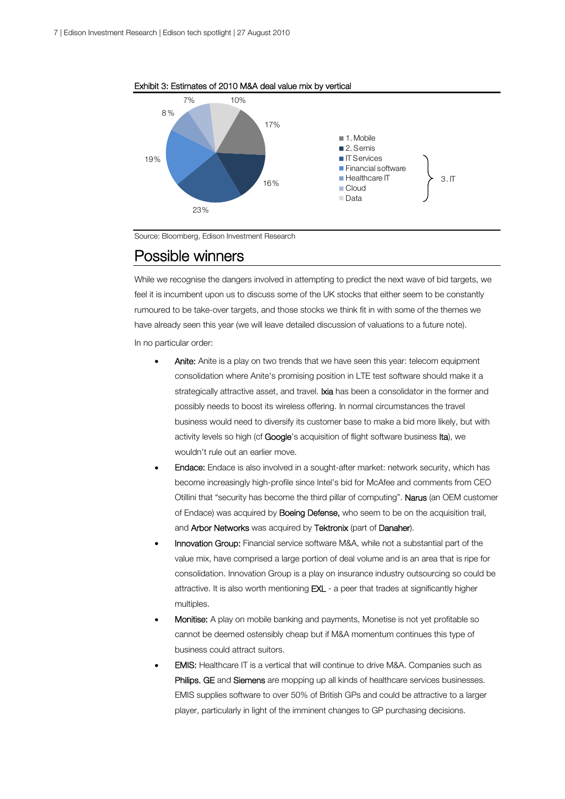

Exhibit 3: Estimates of 2010 M&A deal value mix by vertical

Source: Bloomberg, Edison Investment Research

### Possible winners

While we recognise the dangers involved in attempting to predict the next wave of bid targets, we feel it is incumbent upon us to discuss some of the UK stocks that either seem to be constantly rumoured to be take-over targets, and those stocks we think fit in with some of the themes we have already seen this year (we will leave detailed discussion of valuations to a future note). In no particular order:

- Anite: Anite is a play on two trends that we have seen this year: telecom equipment consolidation where Anite's promising position in LTE test software should make it a strategically attractive asset, and travel. **Ixia** has been a consolidator in the former and possibly needs to boost its wireless offering. In normal circumstances the travel business would need to diversify its customer base to make a bid more likely, but with activity levels so high (cf Google's acquisition of flight software business Ita), we wouldn't rule out an earlier move.
- Endace: Endace is also involved in a sought-after market: network security, which has become increasingly high-profile since Intel's bid for McAfee and comments from CEO Otillini that "security has become the third pillar of computing". Narus (an OEM customer of Endace) was acquired by **Boeing Defense,** who seem to be on the acquisition trail, and Arbor Networks was acquired by Tektronix (part of Danaher).
- Innovation Group: Financial service software M&A, while not a substantial part of the value mix, have comprised a large portion of deal volume and is an area that is ripe for consolidation. Innovation Group is a play on insurance industry outsourcing so could be attractive. It is also worth mentioning **EXL** - a peer that trades at significantly higher multiples.
- Monitise: A play on mobile banking and payments, Monetise is not yet profitable so cannot be deemed ostensibly cheap but if M&A momentum continues this type of business could attract suitors.
- EMIS: Healthcare IT is a vertical that will continue to drive M&A. Companies such as Philips, GE and Siemens are mopping up all kinds of healthcare services businesses. EMIS supplies software to over 50% of British GPs and could be attractive to a larger player, particularly in light of the imminent changes to GP purchasing decisions.